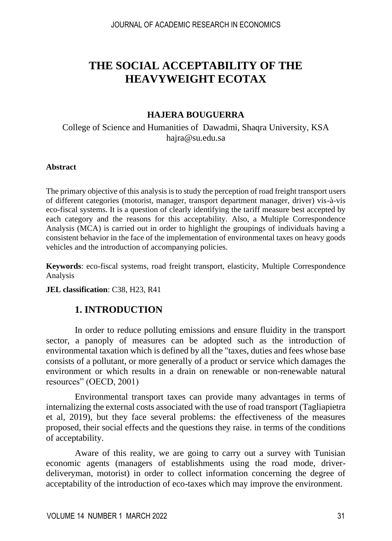# **THE SOCIAL ACCEPTABILITY OF THE HEAVYWEIGHT ECOTAX**

### **HAJERA BOUGUERRA**

College of Science and Humanities of Dawadmi, Shaqra University, KSA hajra@su.edu.sa

#### **Abstract**

The primary objective of this analysis is to study the perception of road freight transport users of different categories (motorist, manager, transport department manager, driver) vis-à-vis eco-fiscal systems. It is a question of clearly identifying the tariff measure best accepted by each category and the reasons for this acceptability. Also, a Multiple Correspondence Analysis (MCA) is carried out in order to highlight the groupings of individuals having a consistent behavior in the face of the implementation of environmental taxes on heavy goods vehicles and the introduction of accompanying policies.

**Keywords**: eco-fiscal systems, road freight transport, elasticity, Multiple Correspondence Analysis

#### **JEL classification**: C38, H23, R41

# **1. INTRODUCTION**

In order to reduce polluting emissions and ensure fluidity in the transport sector, a panoply of measures can be adopted such as the introduction of environmental taxation which is defined by all the "taxes, duties and fees whose base consists of a pollutant, or more generally of a product or service which damages the environment or which results in a drain on renewable or non-renewable natural resources" (OECD, 2001)

Environmental transport taxes can provide many advantages in terms of internalizing the external costs associated with the use of road transport (Tagliapietra et al, 2019), but they face several problems: the effectiveness of the measures proposed, their social effects and the questions they raise. in terms of the conditions of acceptability.

Aware of this reality, we are going to carry out a survey with Tunisian economic agents (managers of establishments using the road mode, driverdeliveryman, motorist) in order to collect information concerning the degree of acceptability of the introduction of eco-taxes which may improve the environment.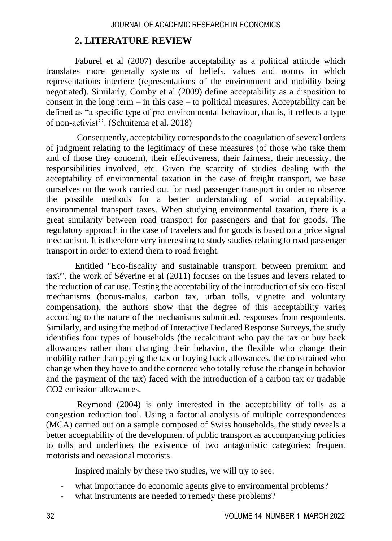### **2. LITERATURE REVIEW**

Faburel et al (2007) describe acceptability as a political attitude which translates more generally systems of beliefs, values and norms in which representations interfere (representations of the environment and mobility being negotiated). Similarly, Comby et al (2009) define acceptability as a disposition to consent in the long term – in this case – to political measures. Acceptability can be defined as "a specific type of pro-environmental behaviour, that is, it reflects a type of non-activist''. (Schuitema et al. 2018)

Consequently, acceptability corresponds to the coagulation of several orders of judgment relating to the legitimacy of these measures (of those who take them and of those they concern), their effectiveness, their fairness, their necessity, the responsibilities involved, etc. Given the scarcity of studies dealing with the acceptability of environmental taxation in the case of freight transport, we base ourselves on the work carried out for road passenger transport in order to observe the possible methods for a better understanding of social acceptability. environmental transport taxes. When studying environmental taxation, there is a great similarity between road transport for passengers and that for goods. The regulatory approach in the case of travelers and for goods is based on a price signal mechanism. It is therefore very interesting to study studies relating to road passenger transport in order to extend them to road freight.

Entitled "Eco-fiscality and sustainable transport: between premium and tax?", the work of Séverine et al (2011) focuses on the issues and levers related to the reduction of car use. Testing the acceptability of the introduction of six eco-fiscal mechanisms (bonus-malus, carbon tax, urban tolls, vignette and voluntary compensation), the authors show that the degree of this acceptability varies according to the nature of the mechanisms submitted. responses from respondents. Similarly, and using the method of Interactive Declared Response Surveys, the study identifies four types of households (the recalcitrant who pay the tax or buy back allowances rather than changing their behavior, the flexible who change their mobility rather than paying the tax or buying back allowances, the constrained who change when they have to and the cornered who totally refuse the change in behavior and the payment of the tax) faced with the introduction of a carbon tax or tradable CO2 emission allowances.

Reymond (2004) is only interested in the acceptability of tolls as a congestion reduction tool. Using a factorial analysis of multiple correspondences (MCA) carried out on a sample composed of Swiss households, the study reveals a better acceptability of the development of public transport as accompanying policies to tolls and underlines the existence of two antagonistic categories: frequent motorists and occasional motorists.

Inspired mainly by these two studies, we will try to see:

- what importance do economic agents give to environmental problems?
- what instruments are needed to remedy these problems?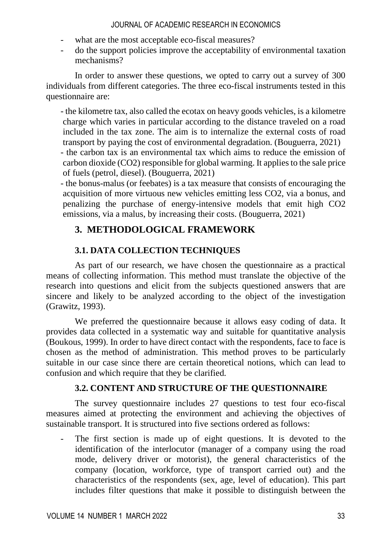- what are the most acceptable eco-fiscal measures?
- do the support policies improve the acceptability of environmental taxation mechanisms?

In order to answer these questions, we opted to carry out a survey of 300 individuals from different categories. The three eco-fiscal instruments tested in this questionnaire are:

- the kilometre tax, also called the ecotax on heavy goods vehicles, is a kilometre charge which varies in particular according to the distance traveled on a road included in the tax zone. The aim is to internalize the external costs of road transport by paying the cost of environmental degradation. (Bouguerra, 2021)

- the carbon tax is an environmental tax which aims to reduce the emission of carbon dioxide (CO2) responsible for global warming. It applies to the sale price of fuels (petrol, diesel). (Bouguerra, 2021)

- the bonus-malus (or feebates) is a tax measure that consists of encouraging the acquisition of more virtuous new vehicles emitting less CO2, via a bonus, and penalizing the purchase of energy-intensive models that emit high CO2 emissions, via a malus, by increasing their costs. (Bouguerra, 2021)

# **3. METHODOLOGICAL FRAMEWORK**

### **3.1. DATA COLLECTION TECHNIQUES**

As part of our research, we have chosen the questionnaire as a practical means of collecting information. This method must translate the objective of the research into questions and elicit from the subjects questioned answers that are sincere and likely to be analyzed according to the object of the investigation (Grawitz, 1993).

We preferred the questionnaire because it allows easy coding of data. It provides data collected in a systematic way and suitable for quantitative analysis (Boukous, 1999). In order to have direct contact with the respondents, face to face is chosen as the method of administration. This method proves to be particularly suitable in our case since there are certain theoretical notions, which can lead to confusion and which require that they be clarified.

### **3.2. CONTENT AND STRUCTURE OF THE QUESTIONNAIRE**

The survey questionnaire includes 27 questions to test four eco-fiscal measures aimed at protecting the environment and achieving the objectives of sustainable transport. It is structured into five sections ordered as follows:

The first section is made up of eight questions. It is devoted to the identification of the interlocutor (manager of a company using the road mode, delivery driver or motorist), the general characteristics of the company (location, workforce, type of transport carried out) and the characteristics of the respondents (sex, age, level of education). This part includes filter questions that make it possible to distinguish between the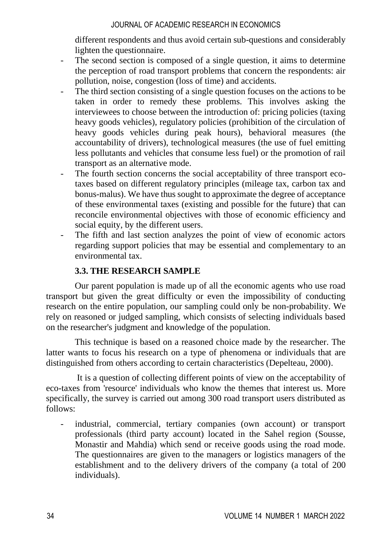different respondents and thus avoid certain sub-questions and considerably lighten the questionnaire.

- The second section is composed of a single question, it aims to determine the perception of road transport problems that concern the respondents: air pollution, noise, congestion (loss of time) and accidents.
- The third section consisting of a single question focuses on the actions to be taken in order to remedy these problems. This involves asking the interviewees to choose between the introduction of: pricing policies (taxing heavy goods vehicles), regulatory policies (prohibition of the circulation of heavy goods vehicles during peak hours), behavioral measures (the accountability of drivers), technological measures (the use of fuel emitting less pollutants and vehicles that consume less fuel) or the promotion of rail transport as an alternative mode.
- The fourth section concerns the social acceptability of three transport ecotaxes based on different regulatory principles (mileage tax, carbon tax and bonus-malus). We have thus sought to approximate the degree of acceptance of these environmental taxes (existing and possible for the future) that can reconcile environmental objectives with those of economic efficiency and social equity, by the different users.
- The fifth and last section analyzes the point of view of economic actors regarding support policies that may be essential and complementary to an environmental tax.

### **3.3. THE RESEARCH SAMPLE**

Our parent population is made up of all the economic agents who use road transport but given the great difficulty or even the impossibility of conducting research on the entire population, our sampling could only be non-probability. We rely on reasoned or judged sampling, which consists of selecting individuals based on the researcher's judgment and knowledge of the population.

This technique is based on a reasoned choice made by the researcher. The latter wants to focus his research on a type of phenomena or individuals that are distinguished from others according to certain characteristics (Depelteau, 2000).

It is a question of collecting different points of view on the acceptability of eco-taxes from 'resource' individuals who know the themes that interest us. More specifically, the survey is carried out among 300 road transport users distributed as follows:

- industrial, commercial, tertiary companies (own account) or transport professionals (third party account) located in the Sahel region (Sousse, Monastir and Mahdia) which send or receive goods using the road mode. The questionnaires are given to the managers or logistics managers of the establishment and to the delivery drivers of the company (a total of 200 individuals).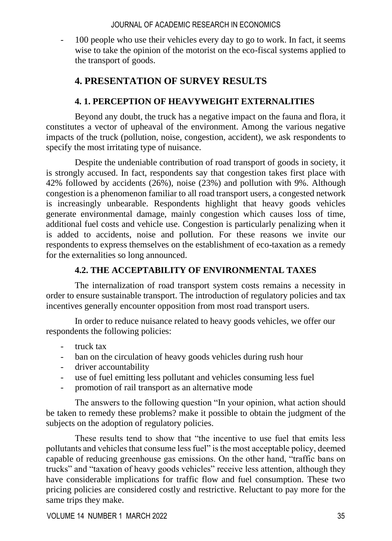- 100 people who use their vehicles every day to go to work. In fact, it seems wise to take the opinion of the motorist on the eco-fiscal systems applied to the transport of goods.

# **4. PRESENTATION OF SURVEY RESULTS**

# **4. 1. PERCEPTION OF HEAVYWEIGHT EXTERNALITIES**

Beyond any doubt, the truck has a negative impact on the fauna and flora, it constitutes a vector of upheaval of the environment. Among the various negative impacts of the truck (pollution, noise, congestion, accident), we ask respondents to specify the most irritating type of nuisance.

Despite the undeniable contribution of road transport of goods in society, it is strongly accused. In fact, respondents say that congestion takes first place with 42% followed by accidents (26%), noise (23%) and pollution with 9%. Although congestion is a phenomenon familiar to all road transport users, a congested network is increasingly unbearable. Respondents highlight that heavy goods vehicles generate environmental damage, mainly congestion which causes loss of time, additional fuel costs and vehicle use. Congestion is particularly penalizing when it is added to accidents, noise and pollution. For these reasons we invite our respondents to express themselves on the establishment of eco-taxation as a remedy for the externalities so long announced.

# **4.2. THE ACCEPTABILITY OF ENVIRONMENTAL TAXES**

The internalization of road transport system costs remains a necessity in order to ensure sustainable transport. The introduction of regulatory policies and tax incentives generally encounter opposition from most road transport users.

In order to reduce nuisance related to heavy goods vehicles, we offer our respondents the following policies:

- truck tax
- ban on the circulation of heavy goods vehicles during rush hour
- driver accountability
- use of fuel emitting less pollutant and vehicles consuming less fuel
- promotion of rail transport as an alternative mode

The answers to the following question "In your opinion, what action should be taken to remedy these problems? make it possible to obtain the judgment of the subjects on the adoption of regulatory policies.

These results tend to show that "the incentive to use fuel that emits less pollutants and vehicles that consume less fuel" is the most acceptable policy, deemed capable of reducing greenhouse gas emissions. On the other hand, "traffic bans on trucks" and "taxation of heavy goods vehicles" receive less attention, although they have considerable implications for traffic flow and fuel consumption. These two pricing policies are considered costly and restrictive. Reluctant to pay more for the same trips they make.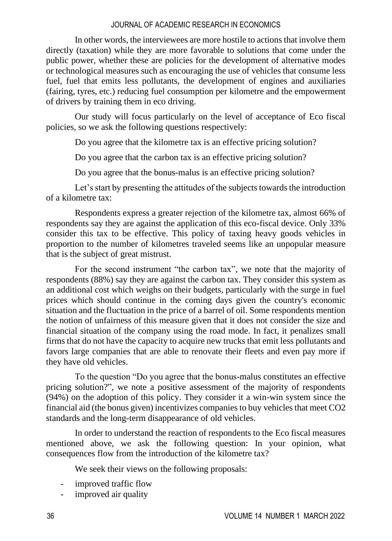In other words, the interviewees are more hostile to actions that involve them directly (taxation) while they are more favorable to solutions that come under the public power, whether these are policies for the development of alternative modes or technological measures such as encouraging the use of vehicles that consume less fuel, fuel that emits less pollutants, the development of engines and auxiliaries (fairing, tyres, etc.) reducing fuel consumption per kilometre and the empowerment of drivers by training them in eco driving.

Our study will focus particularly on the level of acceptance of Eco fiscal policies, so we ask the following questions respectively:

Do you agree that the kilometre tax is an effective pricing solution?

Do you agree that the carbon tax is an effective pricing solution?

Do you agree that the bonus-malus is an effective pricing solution?

Let's start by presenting the attitudes of the subjects towards the introduction of a kilometre tax:

Respondents express a greater rejection of the kilometre tax, almost 66% of respondents say they are against the application of this eco-fiscal device. Only 33% consider this tax to be effective. This policy of taxing heavy goods vehicles in proportion to the number of kilometres traveled seems like an unpopular measure that is the subject of great mistrust.

For the second instrument "the carbon tax", we note that the majority of respondents (88%) say they are against the carbon tax. They consider this system as an additional cost which weighs on their budgets, particularly with the surge in fuel prices which should continue in the coming days given the country's economic situation and the fluctuation in the price of a barrel of oil. Some respondents mention the notion of unfairness of this measure given that it does not consider the size and financial situation of the company using the road mode. In fact, it penalizes small firms that do not have the capacity to acquire new trucks that emit less pollutants and favors large companies that are able to renovate their fleets and even pay more if they have old vehicles.

To the question "Do you agree that the bonus-malus constitutes an effective pricing solution?", we note a positive assessment of the majority of respondents (94%) on the adoption of this policy. They consider it a win-win system since the financial aid (the bonus given) incentivizes companies to buy vehicles that meet CO2 standards and the long-term disappearance of old vehicles.

In order to understand the reaction of respondents to the Eco fiscal measures mentioned above, we ask the following question: In your opinion, what consequences flow from the introduction of the kilometre tax?

We seek their views on the following proposals:

- improved traffic flow
- improved air quality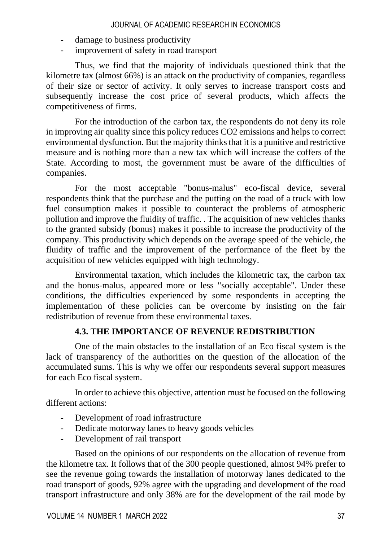- damage to business productivity
- improvement of safety in road transport

Thus, we find that the majority of individuals questioned think that the kilometre tax (almost 66%) is an attack on the productivity of companies, regardless of their size or sector of activity. It only serves to increase transport costs and subsequently increase the cost price of several products, which affects the competitiveness of firms.

For the introduction of the carbon tax, the respondents do not deny its role in improving air quality since this policy reduces CO2 emissions and helps to correct environmental dysfunction. But the majority thinks that it is a punitive and restrictive measure and is nothing more than a new tax which will increase the coffers of the State. According to most, the government must be aware of the difficulties of companies.

For the most acceptable "bonus-malus" eco-fiscal device, several respondents think that the purchase and the putting on the road of a truck with low fuel consumption makes it possible to counteract the problems of atmospheric pollution and improve the fluidity of traffic. . The acquisition of new vehicles thanks to the granted subsidy (bonus) makes it possible to increase the productivity of the company. This productivity which depends on the average speed of the vehicle, the fluidity of traffic and the improvement of the performance of the fleet by the acquisition of new vehicles equipped with high technology.

Environmental taxation, which includes the kilometric tax, the carbon tax and the bonus-malus, appeared more or less "socially acceptable". Under these conditions, the difficulties experienced by some respondents in accepting the implementation of these policies can be overcome by insisting on the fair redistribution of revenue from these environmental taxes.

### **4.3. THE IMPORTANCE OF REVENUE REDISTRIBUTION**

One of the main obstacles to the installation of an Eco fiscal system is the lack of transparency of the authorities on the question of the allocation of the accumulated sums. This is why we offer our respondents several support measures for each Eco fiscal system.

In order to achieve this objective, attention must be focused on the following different actions:

- Development of road infrastructure
- Dedicate motorway lanes to heavy goods vehicles
- Development of rail transport

Based on the opinions of our respondents on the allocation of revenue from the kilometre tax. It follows that of the 300 people questioned, almost 94% prefer to see the revenue going towards the installation of motorway lanes dedicated to the road transport of goods, 92% agree with the upgrading and development of the road transport infrastructure and only 38% are for the development of the rail mode by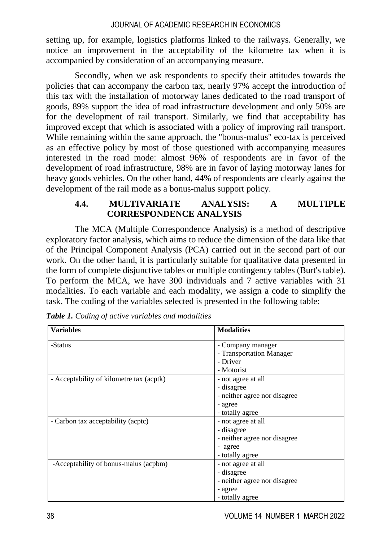setting up, for example, logistics platforms linked to the railways. Generally, we notice an improvement in the acceptability of the kilometre tax when it is accompanied by consideration of an accompanying measure.

Secondly, when we ask respondents to specify their attitudes towards the policies that can accompany the carbon tax, nearly 97% accept the introduction of this tax with the installation of motorway lanes dedicated to the road transport of goods, 89% support the idea of road infrastructure development and only 50% are for the development of rail transport. Similarly, we find that acceptability has improved except that which is associated with a policy of improving rail transport. While remaining within the same approach, the "bonus-malus" eco-tax is perceived as an effective policy by most of those questioned with accompanying measures interested in the road mode: almost 96% of respondents are in favor of the development of road infrastructure, 98% are in favor of laying motorway lanes for heavy goods vehicles. On the other hand, 44% of respondents are clearly against the development of the rail mode as a bonus-malus support policy.

# **4.4. MULTIVARIATE ANALYSIS: A MULTIPLE CORRESPONDENCE ANALYSIS**

The MCA (Multiple Correspondence Analysis) is a method of descriptive exploratory factor analysis, which aims to reduce the dimension of the data like that of the Principal Component Analysis (PCA) carried out in the second part of our work. On the other hand, it is particularly suitable for qualitative data presented in the form of complete disjunctive tables or multiple contingency tables (Burt's table). To perform the MCA, we have 300 individuals and 7 active variables with 31 modalities. To each variable and each modality, we assign a code to simplify the task. The coding of the variables selected is presented in the following table:

| <b>Variables</b>                         | <b>Modalities</b>            |
|------------------------------------------|------------------------------|
| -Status                                  | - Company manager            |
|                                          | - Transportation Manager     |
|                                          | - Driver                     |
|                                          | - Motorist                   |
| - Acceptability of kilometre tax (acptk) | - not agree at all           |
|                                          | - disagree                   |
|                                          | - neither agree nor disagree |
|                                          | - agree                      |
|                                          | - totally agree              |
| - Carbon tax acceptability (acptc)       | - not agree at all           |
|                                          | - disagree                   |
|                                          | - neither agree nor disagree |
|                                          | - agree                      |
|                                          | - totally agree              |
| -Acceptability of bonus-malus (acpbm)    | - not agree at all           |
|                                          | - disagree                   |
|                                          | - neither agree nor disagree |
|                                          | - agree                      |
|                                          | - totally agree              |

*Table 1. Coding of active variables and modalities*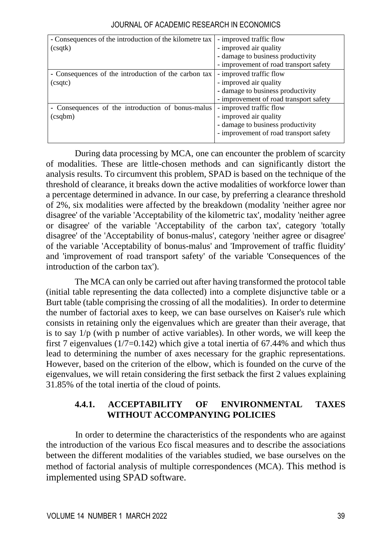| - Consequences of the introduction of the kilometre tax | - improved traffic flow                |
|---------------------------------------------------------|----------------------------------------|
| (csgtk)                                                 | - improved air quality                 |
|                                                         | - damage to business productivity      |
|                                                         | - improvement of road transport safety |
| - Consequences of the introduction of the carbon tax    | - improved traffic flow                |
| (csqtc)                                                 | - improved air quality                 |
|                                                         | - damage to business productivity      |
|                                                         | - improvement of road transport safety |
| - Consequences of the introduction of bonus-malus       | - improved traffic flow                |
| $(c\text{sqbm})$                                        | - improved air quality                 |
|                                                         | - damage to business productivity      |
|                                                         | - improvement of road transport safety |
|                                                         |                                        |

JOURNAL OF ACADEMIC RESEARCH IN ECONOMICS

During data processing by MCA, one can encounter the problem of scarcity of modalities. These are little-chosen methods and can significantly distort the analysis results. To circumvent this problem, SPAD is based on the technique of the threshold of clearance, it breaks down the active modalities of workforce lower than a percentage determined in advance. In our case, by preferring a clearance threshold of 2%, six modalities were affected by the breakdown (modality 'neither agree nor disagree' of the variable 'Acceptability of the kilometric tax', modality 'neither agree or disagree' of the variable 'Acceptability of the carbon tax', category 'totally disagree' of the 'Acceptability of bonus-malus', category 'neither agree or disagree' of the variable 'Acceptability of bonus-malus' and 'Improvement of traffic fluidity' and 'improvement of road transport safety' of the variable 'Consequences of the introduction of the carbon tax').

The MCA can only be carried out after having transformed the protocol table (initial table representing the data collected) into a complete disjunctive table or a Burt table (table comprising the crossing of all the modalities). In order to determine the number of factorial axes to keep, we can base ourselves on Kaiser's rule which consists in retaining only the eigenvalues which are greater than their average, that is to say 1/p (with p number of active variables). In other words, we will keep the first 7 eigenvalues  $(1/7=0.142)$  which give a total inertia of 67.44% and which thus lead to determining the number of axes necessary for the graphic representations. However, based on the criterion of the elbow, which is founded on the curve of the eigenvalues, we will retain considering the first setback the first 2 values explaining 31.85% of the total inertia of the cloud of points.

# **4.4.1. ACCEPTABILITY OF ENVIRONMENTAL TAXES WITHOUT ACCOMPANYING POLICIES**

In order to determine the characteristics of the respondents who are against the introduction of the various Eco fiscal measures and to describe the associations between the different modalities of the variables studied, we base ourselves on the method of factorial analysis of multiple correspondences (MCA). This method is implemented using SPAD software.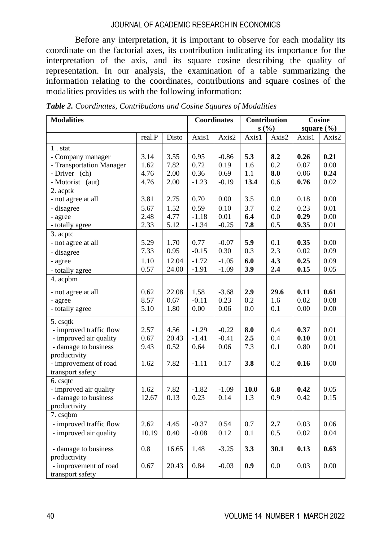Before any interpretation, it is important to observe for each modality its coordinate on the factorial axes, its contribution indicating its importance for the interpretation of the axis, and its square cosine describing the quality of representation. In our analysis, the examination of a table summarizing the information relating to the coordinates, contributions and square cosines of the modalities provides us with the following information:

| <b>Modalities</b>        |        | Coordinates |         | Contribution |       | Cosine |                |       |
|--------------------------|--------|-------------|---------|--------------|-------|--------|----------------|-------|
|                          |        |             |         |              | s(%)  |        | square $(\% )$ |       |
|                          | real.P | Disto       | Axis1   | Axis2        | Axis1 | Axis2  | Axis1          | Axis2 |
| 1. stat                  |        |             |         |              |       |        |                |       |
| - Company manager        | 3.14   | 3.55        | 0.95    | $-0.86$      | 5.3   | 8.2    | 0.26           | 0.21  |
| - Transportation Manager | 1.62   | 7.82        | 0.72    | 0.19         | 1.6   | 0.2    | 0.07           | 0.00  |
| - Driver (ch)            | 4.76   | 2.00        | 0.36    | 0.69         | 1.1   | 8.0    | 0.06           | 0.24  |
| - Motorist (aut)         | 4.76   | 2.00        | $-1.23$ | $-0.19$      | 13.4  | 0.6    | 0.76           | 0.02  |
| 2. acptk                 |        |             |         |              |       |        |                |       |
| - not agree at all       | 3.81   | 2.75        | 0.70    | 0.00         | 3.5   | 0.0    | 0.18           | 0.00  |
| - disagree               | 5.67   | 1.52        | 0.59    | 0.10         | 3.7   | 0.2    | 0.23           | 0.01  |
| - agree                  | 2.48   | 4.77        | $-1.18$ | 0.01         | 6.4   | 0.0    | 0.29           | 0.00  |
| - totally agree          | 2.33   | 5.12        | $-1.34$ | $-0.25$      | 7.8   | 0.5    | 0.35           | 0.01  |
| 3. acptc                 |        |             |         |              |       |        |                |       |
| - not agree at all       | 5.29   | 1.70        | 0.77    | $-0.07$      | 5.9   | 0.1    | 0.35           | 0.00  |
| - disagree               | 7.33   | 0.95        | $-0.15$ | 0.30         | 0.3   | 2.3    | 0.02           | 0.09  |
| - agree                  | 1.10   | 12.04       | $-1.72$ | $-1.05$      | 6.0   | 4.3    | 0.25           | 0.09  |
| - totally agree          | 0.57   | 24.00       | $-1.91$ | $-1.09$      | 3.9   | 2.4    | 0.15           | 0.05  |
| 4. acpbm                 |        |             |         |              |       |        |                |       |
| - not agree at all       | 0.62   | 22.08       | 1.58    | $-3.68$      | 2.9   | 29.6   | 0.11           | 0.61  |
| - agree                  | 8.57   | 0.67        | $-0.11$ | 0.23         | 0.2   | 1.6    | 0.02           | 0.08  |
| - totally agree          | 5.10   | 1.80        | 0.00    | 0.06         | 0.0   | 0.1    | 0.00           | 0.00  |
| 5. csqtk                 |        |             |         |              |       |        |                |       |
| - improved traffic flow  | 2.57   | 4.56        | $-1.29$ | $-0.22$      | 8.0   | 0.4    | 0.37           | 0.01  |
| - improved air quality   | 0.67   | 20.43       | $-1.41$ | $-0.41$      | 2.5   | 0.4    | 0.10           | 0.01  |
| - damage to business     | 9.43   | 0.52        | 0.64    | 0.06         | 7.3   | 0.1    | 0.80           | 0.01  |
| productivity             |        |             |         |              |       |        |                |       |
| - improvement of road    | 1.62   | 7.82        | $-1.11$ | 0.17         | 3.8   | 0.2    | 0.16           | 0.00  |
| transport safety         |        |             |         |              |       |        |                |       |
| 6. csqtc                 |        |             |         |              |       |        |                |       |
| - improved air quality   | 1.62   | 7.82        | $-1.82$ | $-1.09$      | 10.0  | 6.8    | 0.42           | 0.05  |
| - damage to business     | 12.67  | 0.13        | 0.23    | 0.14         | 1.3   | 0.9    | 0.42           | 0.15  |
| productivity             |        |             |         |              |       |        |                |       |
| 7. csqbm                 |        |             |         |              |       |        |                |       |
| - improved traffic flow  | 2.62   | 4.45        | $-0.37$ | 0.54         | 0.7   | 2.7    | 0.03           | 0.06  |
| - improved air quality   | 10.19  | 0.40        | $-0.08$ | 0.12         | 0.1   | 0.5    | 0.02           | 0.04  |
| - damage to business     | 0.8    | 16.65       | 1.48    | $-3.25$      | 3.3   | 30.1   | 0.13           | 0.63  |
| productivity             |        |             |         |              |       |        |                |       |
| - improvement of road    | 0.67   | 20.43       | 0.84    | $-0.03$      | 0.9   | 0.0    | 0.03           | 0.00  |
| transport safety         |        |             |         |              |       |        |                |       |

*Table 2. Coordinates, Contributions and Cosine Squares of Modalities*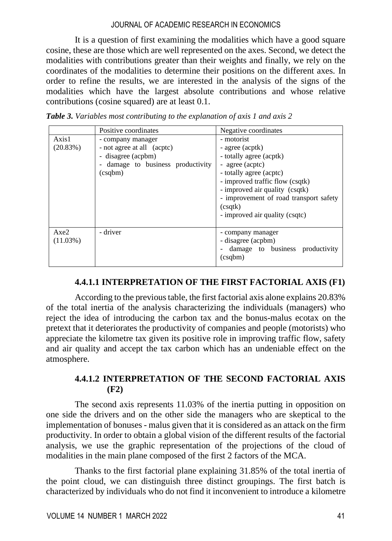It is a question of first examining the modalities which have a good square cosine, these are those which are well represented on the axes. Second, we detect the modalities with contributions greater than their weights and finally, we rely on the coordinates of the modalities to determine their positions on the different axes. In order to refine the results, we are interested in the analysis of the signs of the modalities which have the largest absolute contributions and whose relative contributions (cosine squared) are at least 0.1.

|                     | Positive coordinates                                                                                                         | Negative coordinates                                                                                                                                                                                                                                               |
|---------------------|------------------------------------------------------------------------------------------------------------------------------|--------------------------------------------------------------------------------------------------------------------------------------------------------------------------------------------------------------------------------------------------------------------|
| Axis1<br>(20.83%)   | - company manager<br>- not agree at all (acptc)<br>- disagree (acpbm)<br>damage to business productivity<br>$(c\text{sgbm})$ | - motorist<br>- agree (acptk)<br>- totally agree (acptk)<br>- agree (acptc)<br>- totally agree (acptc)<br>- improved traffic flow (csqtk)<br>- improved air quality (csqtk)<br>- improvement of road transport safety<br>(csgtk)<br>- improved air quality (csqtc) |
| Axe2<br>$(11.03\%)$ | - driver                                                                                                                     | - company manager<br>- disagree (acpbm)<br>- damage to business productivity<br>$(c\text{sgbm})$                                                                                                                                                                   |

| Table 3. Variables most contributing to the explanation of axis 1 and axis 2 |  |  |  |
|------------------------------------------------------------------------------|--|--|--|
|                                                                              |  |  |  |

### **4.4.1.1 INTERPRETATION OF THE FIRST FACTORIAL AXIS (F1)**

According to the previous table, the first factorial axis alone explains 20.83% of the total inertia of the analysis characterizing the individuals (managers) who reject the idea of introducing the carbon tax and the bonus-malus ecotax on the pretext that it deteriorates the productivity of companies and people (motorists) who appreciate the kilometre tax given its positive role in improving traffic flow, safety and air quality and accept the tax carbon which has an undeniable effect on the atmosphere.

# **4.4.1.2 INTERPRETATION OF THE SECOND FACTORIAL AXIS (F2)**

The second axis represents 11.03% of the inertia putting in opposition on one side the drivers and on the other side the managers who are skeptical to the implementation of bonuses - malus given that it is considered as an attack on the firm productivity. In order to obtain a global vision of the different results of the factorial analysis, we use the graphic representation of the projections of the cloud of modalities in the main plane composed of the first 2 factors of the MCA.

Thanks to the first factorial plane explaining 31.85% of the total inertia of the point cloud, we can distinguish three distinct groupings. The first batch is characterized by individuals who do not find it inconvenient to introduce a kilometre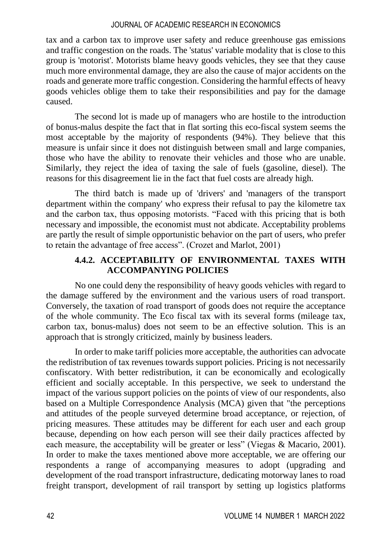tax and a carbon tax to improve user safety and reduce greenhouse gas emissions and traffic congestion on the roads. The 'status' variable modality that is close to this group is 'motorist'. Motorists blame heavy goods vehicles, they see that they cause much more environmental damage, they are also the cause of major accidents on the roads and generate more traffic congestion. Considering the harmful effects of heavy goods vehicles oblige them to take their responsibilities and pay for the damage caused.

The second lot is made up of managers who are hostile to the introduction of bonus-malus despite the fact that in flat sorting this eco-fiscal system seems the most acceptable by the majority of respondents (94%). They believe that this measure is unfair since it does not distinguish between small and large companies, those who have the ability to renovate their vehicles and those who are unable. Similarly, they reject the idea of taxing the sale of fuels (gasoline, diesel). The reasons for this disagreement lie in the fact that fuel costs are already high.

The third batch is made up of 'drivers' and 'managers of the transport department within the company' who express their refusal to pay the kilometre tax and the carbon tax, thus opposing motorists. "Faced with this pricing that is both necessary and impossible, the economist must not abdicate. Acceptability problems are partly the result of simple opportunistic behavior on the part of users, who prefer to retain the advantage of free access". (Crozet and Marlot, 2001)

### **4.4.2. ACCEPTABILITY OF ENVIRONMENTAL TAXES WITH ACCOMPANYING POLICIES**

No one could deny the responsibility of heavy goods vehicles with regard to the damage suffered by the environment and the various users of road transport. Conversely, the taxation of road transport of goods does not require the acceptance of the whole community. The Eco fiscal tax with its several forms (mileage tax, carbon tax, bonus-malus) does not seem to be an effective solution. This is an approach that is strongly criticized, mainly by business leaders.

In order to make tariff policies more acceptable, the authorities can advocate the redistribution of tax revenues towards support policies. Pricing is not necessarily confiscatory. With better redistribution, it can be economically and ecologically efficient and socially acceptable. In this perspective, we seek to understand the impact of the various support policies on the points of view of our respondents, also based on a Multiple Correspondence Analysis (MCA) given that "the perceptions and attitudes of the people surveyed determine broad acceptance, or rejection, of pricing measures. These attitudes may be different for each user and each group because, depending on how each person will see their daily practices affected by each measure, the acceptability will be greater or less" (Viegas & Macario, 2001). In order to make the taxes mentioned above more acceptable, we are offering our respondents a range of accompanying measures to adopt (upgrading and development of the road transport infrastructure, dedicating motorway lanes to road freight transport, development of rail transport by setting up logistics platforms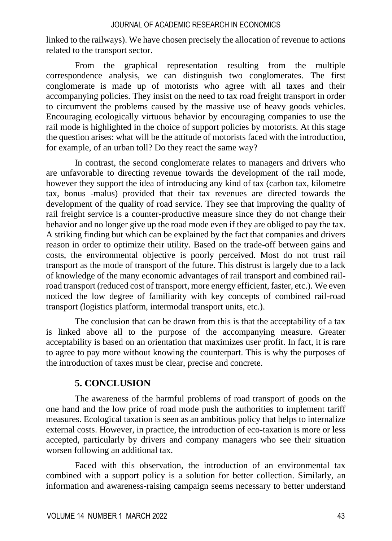linked to the railways). We have chosen precisely the allocation of revenue to actions related to the transport sector.

From the graphical representation resulting from the multiple correspondence analysis, we can distinguish two conglomerates. The first conglomerate is made up of motorists who agree with all taxes and their accompanying policies. They insist on the need to tax road freight transport in order to circumvent the problems caused by the massive use of heavy goods vehicles. Encouraging ecologically virtuous behavior by encouraging companies to use the rail mode is highlighted in the choice of support policies by motorists. At this stage the question arises: what will be the attitude of motorists faced with the introduction, for example, of an urban toll? Do they react the same way?

In contrast, the second conglomerate relates to managers and drivers who are unfavorable to directing revenue towards the development of the rail mode, however they support the idea of introducing any kind of tax (carbon tax, kilometre tax, bonus -malus) provided that their tax revenues are directed towards the development of the quality of road service. They see that improving the quality of rail freight service is a counter-productive measure since they do not change their behavior and no longer give up the road mode even if they are obliged to pay the tax. A striking finding but which can be explained by the fact that companies and drivers reason in order to optimize their utility. Based on the trade-off between gains and costs, the environmental objective is poorly perceived. Most do not trust rail transport as the mode of transport of the future. This distrust is largely due to a lack of knowledge of the many economic advantages of rail transport and combined railroad transport (reduced cost of transport, more energy efficient, faster, etc.). We even noticed the low degree of familiarity with key concepts of combined rail-road transport (logistics platform, intermodal transport units, etc.).

The conclusion that can be drawn from this is that the acceptability of a tax is linked above all to the purpose of the accompanying measure. Greater acceptability is based on an orientation that maximizes user profit. In fact, it is rare to agree to pay more without knowing the counterpart. This is why the purposes of the introduction of taxes must be clear, precise and concrete.

# **5. CONCLUSION**

The awareness of the harmful problems of road transport of goods on the one hand and the low price of road mode push the authorities to implement tariff measures. Ecological taxation is seen as an ambitious policy that helps to internalize external costs. However, in practice, the introduction of eco-taxation is more or less accepted, particularly by drivers and company managers who see their situation worsen following an additional tax.

Faced with this observation, the introduction of an environmental tax combined with a support policy is a solution for better collection. Similarly, an information and awareness-raising campaign seems necessary to better understand